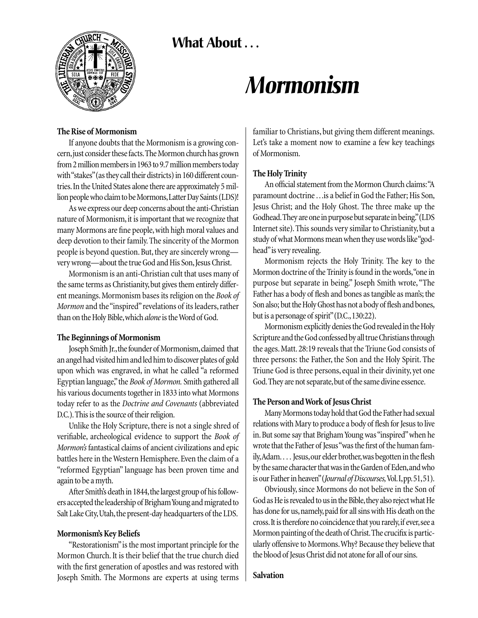**What About . . .** 



# *Mormonism*

#### **The Rise of Mormonism**

If anyone doubts that the Mormonism is a growing concern,just consider these facts.The Mormon church has grown from 2 million members in 1963 to 9.7 million members today with "stakes"(as they call their districts) in 160 different countries.In the United States alone there are approximately 5 million people who claim to be Mormons,Latter Day Saints (LDS)!

As we express our deep concerns about the anti-Christian nature of Mormonism, it is important that we recognize that many Mormons are fine people, with high moral values and deep devotion to their family. The sincerity of the Mormon people is beyond question. But, they are sincerely wrong very wrong—about the true God and His Son, Jesus Christ.

Mormonism is an anti-Christian cult that uses many of the same terms as Christianity, but gives them entirely different meanings. Mormonism bases its religion on the *Book of Mormon* and the "inspired" revelations of its leaders, rather than on the Holy Bible,which *alone*is the Word of God.

# **The Beginnings of Mormonism**

Joseph Smith Jr., the founder of Mormonism, claimed that an angel had visited him and led him to discover plates of gold upon which was engraved, in what he called "a reformed Egyptian language,"the *Book of Mormon.* Smith gathered all his various documents together in 1833 into what Mormons today refer to as the *Doctrine and Covenants* (abbreviated D.C.).This is the source of their religion.

Unlike the Holy Scripture, there is not a single shred of verifiable, archeological evidence to support the *Book of Mormon's* fantastical claims of ancient civilizations and epic battles here in the Western Hemisphere. Even the claim of a "reformed Egyptian" language has been proven time and again to be a myth.

After Smith's death in 1844, the largest group of his followers accepted the leadership of Brigham Young and migrated to Salt Lake City, Utah, the present-day headquarters of the LDS.

# **Mormonism's Key Beliefs**

"Restorationism"is the most important principle for the Mormon Church. It is their belief that the true church died with the first generation of apostles and was restored with Joseph Smith. The Mormons are experts at using terms familiar to Christians, but giving them different meanings. Let's take a moment now to examine a few key teachings of Mormonism.

# **The Holy Trinity**

An official statement from the Mormon Church claims:"A paramount doctrine ...is a belief in God the Father; His Son, Jesus Christ; and the Holy Ghost. The three make up the Godhead.They are one in purpose but separate in being."(LDS Internet site). This sounds very similar to Christianity, but a study of what Mormons mean when they use words like "godhead"is very revealing.

Mormonism rejects the Holy Trinity. The key to the Mormon doctrine of the Trinity is found in the words,"one in purpose but separate in being." Joseph Smith wrote, "The Father has a body of flesh and bones as tangible as man's; the Son also; but the Holy Ghost has not a body of flesh and bones, but is a personage of spirit" (D.C., 130:22).

Mormonism explicitly denies the God revealed in the Holy Scripture and the God confessed by all true Christians through the ages. Matt. 28:19 reveals that the Triune God consists of three persons: the Father, the Son and the Holy Spirit. The Triune God is three persons, equal in their divinity, yet one God. They are not separate, but of the same divine essence.

# **The Person and Work of Jesus Christ**

Many Mormons today hold that God the Father had sexual relations with Mary to produce a body of flesh for Jesus to live in.But some say that Brigham Young was "inspired"when he wrote that the Father of Jesus "was the first of the human family,Adam. . . . Jesus,our elder brother,was begotten in the flesh by the same character that was in the Garden of Eden,and who is our Father in heaven"(*Journal of Discourses,*Vol.I,pp.51,51).

Obviously, since Mormons do not believe in the Son of God as He is revealed to us in the Bible, they also reject what He has done for us, namely, paid for all sins with His death on the cross.It is therefore no coincidence that you rarely,if ever,see a Mormon painting of the death of Christ.The crucifix is particularly offensive to Mormons.Why? Because they believe that the blood of Jesus Christ did not atone for all of our sins.

# **Salvation**